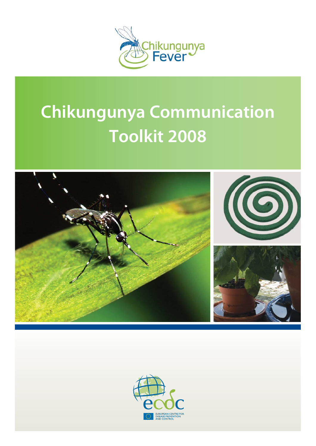

# **Chikungunya Communication Toolkit 2008**



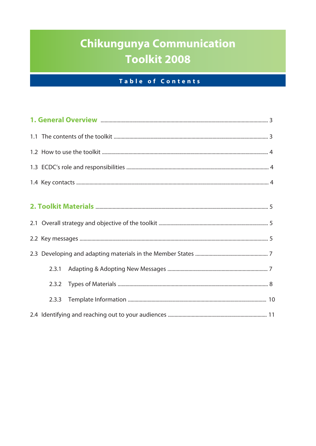## Chikungunya Communication **Toolkit 2008**

### Table of Contents

| 2.3.1 |  |  |  |  |
|-------|--|--|--|--|
| 2.3.2 |  |  |  |  |
| 2.3.3 |  |  |  |  |
|       |  |  |  |  |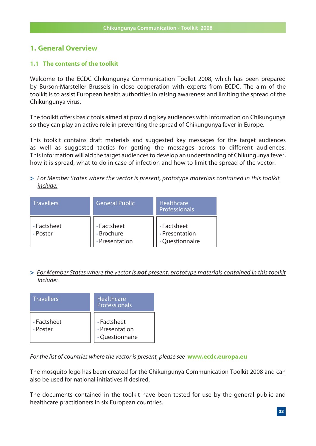#### **1. General Overview**

#### **1.1 The contents of the toolkit**

Welcome to the ECDC Chikungunya Communication Toolkit 2008, which has been prepared by Burson-Marsteller Brussels in close cooperation with experts from ECDC. The aim of the toolkit is to assist European health authorities in raising awareness and limiting the spread of the Chikungunya virus.

The toolkit offers basic tools aimed at providing key audiences with information on Chikungunya so they can play an active role in preventing the spread of Chikungunya fever in Europe.

This toolkit contains draft materials and suggested key messages for the target audiences as well as suggested tactics for getting the messages across to different audiences. This information will aid the target audiences to develop an understanding of Chikungunya fever, how it is spread, what to do in case of infection and how to limit the spread of the vector.

*>* For Member States where the vector is present, prototype materials contained in this toolkit include:

| <b>Travellers</b>       | <b>General Public</b>                       | Healthcare<br>Professionals                      |
|-------------------------|---------------------------------------------|--------------------------------------------------|
| • Factsheet<br>• Poster | • Factsheet<br>· Brochure<br>· Presentation | • Factsheet<br>• Presentation<br>• Questionnaire |

*>* For Member States where the vector is *not* present, prototype materials contained in this toolkit include:

| <b>Travellers</b>       | <b>Healthcare</b><br>Professionals               |
|-------------------------|--------------------------------------------------|
| • Factsheet<br>• Poster | • Factsheet<br>• Presentation<br>• Questionnaire |

For the list of countries where the vector is present, please see **www.ecdc.europa.eu**

The mosquito logo has been created for the Chikungunya Communication Toolkit 2008 and can also be used for national initiatives if desired.

The documents contained in the toolkit have been tested for use by the general public and healthcare practitioners in six European countries.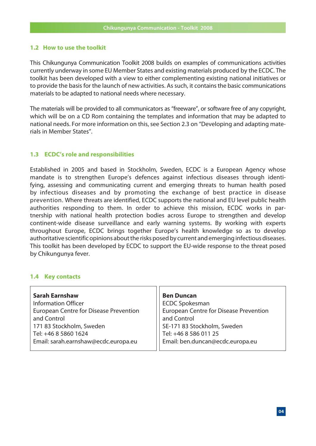#### **1.2 How to use the toolkit**

This Chikungunya Communication Toolkit 2008 builds on examples of communications activities currently underway in some EU Member States and existing materials produced by the ECDC. The toolkit has been developed with a view to either complementing existing national initiatives or to provide the basis for the launch of new activities. As such, it contains the basic communications materials to be adapted to national needs where necessary.

The materials will be provided to all communicators as "freeware", or software free of any copyright, which will be on a CD Rom containing the templates and information that may be adapted to national needs. For more information on this, see Section 2.3 on "Developing and adapting materials in Member States".

#### **1.3 ECDC's role and responsibilities**

Established in 2005 and based in Stockholm, Sweden, ECDC is a European Agency whose mandate is to strengthen Europe's defences against infectious diseases through identifying, assessing and communicating current and emerging threats to human health posed by infectious diseases and by promoting the exchange of best practice in disease prevention. Where threats are identified, ECDC supports the national and EU level public health authorities responding to them. In order to achieve this mission, ECDC works in partnership with national health protection bodies across Europe to strengthen and develop continent-wide disease surveillance and early warning systems. By working with experts throughout Europe, ECDC brings together Europe's health knowledge so as to develop authoritative scientific opinions about the risks posed by current and emerging infectious diseases. This toolkit has been developed by ECDC to support the EU-wide response to the threat posed by Chikungunya fever.

#### **1.4 Key contacts**

| <b>Sarah Earnshaw</b>                         | <b>Ben Duncan</b>                             |
|-----------------------------------------------|-----------------------------------------------|
| <b>Information Officer</b>                    | <b>ECDC Spokesman</b>                         |
| <b>European Centre for Disease Prevention</b> | <b>European Centre for Disease Prevention</b> |
| and Control                                   | and Control                                   |
| 171 83 Stockholm, Sweden                      | SE-171 83 Stockholm, Sweden                   |
| Tel: +46 8 5860 1624                          | Tel: +46 8 586 011 25                         |
| Email: sarah.earnshaw@ecdc.europa.eu          | Email: ben.duncan@ecdc.europa.eu              |
|                                               |                                               |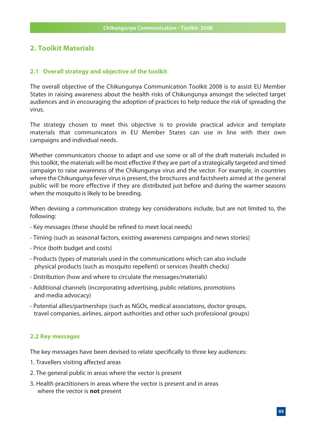#### **2. Toolkit Materials**

#### **2.1 Overall strategy and objective of the toolkit**

The overall objective of the Chikungunya Communication Toolkit 2008 is to assist EU Member States in raising awareness about the health risks of Chikungunya amongst the selected target audiences and in encouraging the adoption of practices to help reduce the risk of spreading the virus.

The strategy chosen to meet this objective is to provide practical advice and template materials that communicators in EU Member States can use in line with their own campaigns and individual needs.

Whether communicators choose to adapt and use some or all of the draft materials included in this toolkit, the materials will be most effective if they are part of a strategically targeted and timed campaign to raise awareness of the Chikungunya virus and the vector. For example, in countries where the Chikungunya fever virus is present, the brochures and factsheets aimed at the general public will be more effective if they are distributed just before and during the warmer seasons when the mosquito is likely to be breeding.

When devising a communication strategy key considerations include, but are not limited to, the following:

- Key messages (these should be refined to meet local needs)
- Timing (such as seasonal factors, existing awareness campaigns and news stories)
- Price (both budget and costs)
- Products (types of materials used in the communications which can also include physical products (such as mosquito repellent) or services (health checks)
- Distribution (how and where to circulate the messages/materials)
- Additional channels (incorporating advertising, public relations, promotions and media advocacy)
- Potential allies/partnerships (such as NGOs, medical associations, doctor groups, travel companies, airlines, airport authorities and other such professional groups)

#### **2.2 Key messages**

The key messages have been devised to relate specifically to three key audiences:

- 1. Travellers visiting affected areas
- 2. The general public in areas where the vector is present
- 3. Health practitioners in areas where the vector is present and in areas where the vector is **not** present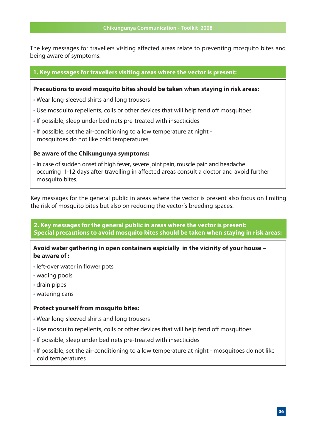The key messages for travellers visiting affected areas relate to preventing mosquito bites and being aware of symptoms.

#### **1. Key messages for travellers visiting areas where the vector is present:**

#### **Precautions to avoid mosquito bites should be taken when staying in risk areas:**

- Wear long-sleeved shirts and long trousers
- Use mosquito repellents, coils or other devices that will help fend off mosquitoes
- If possible, sleep under bed nets pre-treated with insecticides
- If possible, set the air-conditioning to a low temperature at night mosquitoes do not like cold temperatures

#### **Be aware of the Chikungunya symptoms:**

• In case of sudden onset of high fever, severe joint pain, muscle pain and headache occurring 1-12 days after travelling in affected areas consult a doctor and avoid further mosquito bites.

Key messages for the general public in areas where the vector is present also focus on limiting the risk of mosquito bites but also on reducing the vector's breeding spaces.

**2. Key messages for the general public in areas where the vector is present: Special precautions to avoid mosquito bites should be taken when staying in risk areas:** 

**Avoid water gathering in open containers espicially in the vicinity of your house – be aware of :** 

- left-over water in flower pots
- wading pools
- drain pipes
- watering cans

#### **Protect yourself from mosquito bites:**

- Wear long-sleeved shirts and long trousers
- Use mosquito repellents, coils or other devices that will help fend off mosquitoes
- If possible, sleep under bed nets pre-treated with insecticides
- If possible, set the air-conditioning to a low temperature at night mosquitoes do not like cold temperatures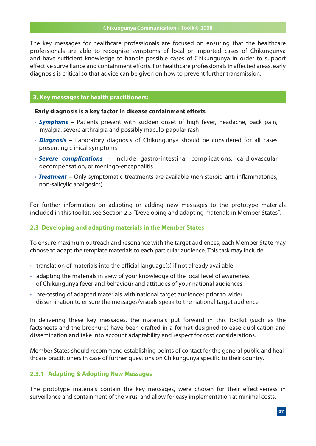The key messages for healthcare professionals are focused on ensuring that the healthcare professionals are able to recognise symptoms of local or imported cases of Chikungunya and have sufficient knowledge to handle possible cases of Chikungunya in order to support effective surveillance and containment efforts. For healthcare professionals in affected areas, early diagnosis is critical so that advice can be given on how to prevent further transmission.

#### **3. Key messages for health practitioners:**

#### **Early diagnosis is a key factor in disease containment efforts**

- *Symptoms* Patients present with sudden onset of high fever, headache, back pain, myalgia, severe arthralgia and possibly maculo-papular rash
- *Diagnosis* Laboratory diagnosis of Chikungunya should be considered for all cases presenting clinical symptoms
- *Severe complications* Include gastro-intestinal complications, cardiovascular decompensation, or meningo-encephalitis
- *Treatment* Only symptomatic treatments are available (non-steroid anti-inflammatories, non-salicylic analgesics)

For further information on adapting or adding new messages to the prototype materials included in this toolkit, see Section 2.3 "Developing and adapting materials in Member States".

#### **2.3 Developing and adapting materials in the Member States**

To ensure maximum outreach and resonance with the target audiences, each Member State may choose to adapt the template materials to each particular audience. This task may include:

- translation of materials into the official language(s) if not already available
- adapting the materials in view of your knowledge of the local level of awareness of Chikungunya fever and behaviour and attitudes of your national audiences
- pre-testing of adapted materials with national target audiences prior to wider dissemination to ensure the messages/visuals speak to the national target audience

In delivering these key messages, the materials put forward in this toolkit (such as the factsheets and the brochure) have been drafted in a format designed to ease duplication and dissemination and take into account adaptability and respect for cost considerations.

Member States should recommend establishing points of contact for the general public and healthcare practitioners in case of further questions on Chikungunya specific to their country.

#### **2.3.1 Adapting & Adopting New Messages**

The prototype materials contain the key messages, were chosen for their effectiveness in surveillance and containment of the virus, and allow for easy implementation at minimal costs.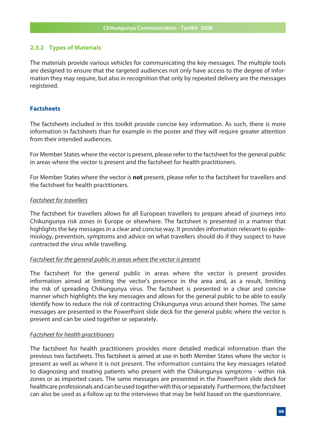#### **2.3.2 Types of Materials**

The materials provide various vehicles for communicating the key messages. The multiple tools are designed to ensure that the targeted audiences not only have access to the degree of information they may require, but also in recognition that only by repeated delivery are the messages registered.

#### **Factsheets**

The factsheets included in this toolkit provide concise key information. As such, there is more information in factsheets than for example in the poster and they will require greater attention from their intended audiences.

For Member States where the vector is present, please refer to the factsheet for the general public in areas where the vector is present and the factsheet for health practitioners.

For Member States where the vector is **not** present, please refer to the factsheet for travellers and the factsheet for health practitioners.

#### Factsheet for travellers

The factsheet for travellers allows for all European travellers to prepare ahead of journeys into Chikungunya risk zones in Europe or elsewhere. The factsheet is presented in a manner that highlights the key messages in a clear and concise way. It provides information relevant to epidemiology, prevention, symptoms and advice on what travellers should do if they suspect to have contracted the virus while travelling.

#### Factsheet for the general public in areas where the vector is present

The factsheet for the general public in areas where the vector is present provides information aimed at limiting the vector's presence in the area and, as a result, limiting the risk of spreading Chikungunya virus. The factsheet is presented in a clear and concise manner which highlights the key messages and allows for the general public to be able to easily identify how to reduce the risk of contracting Chikungunya virus around their homes. The same messages are presented in the PowerPoint slide deck for the general public where the vector is present and can be used together or separately.

#### Factsheet for health practitioners

The factsheet for health practitioners provides more detailed medical information than the previous two factsheets. This factsheet is aimed at use in both Member States where the vector is present as well as where it is not present. The information contains the key messages related to diagnosing and treating patients who present with the Chikungunya symptoms - within risk zones or as imported cases. The same messages are presented in the PowerPoint slide deck for healthcare professionals and can be used together with this or separately. Furthermore, the factsheet can also be used as a follow up to the interviews that may be held based on the questionnaire.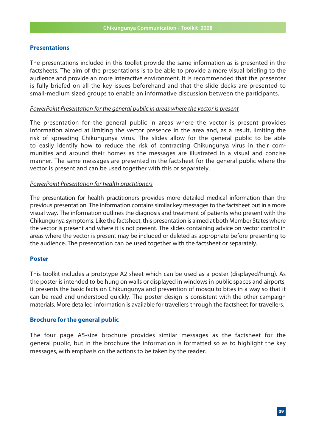#### **Presentations**

The presentations included in this toolkit provide the same information as is presented in the factsheets. The aim of the presentations is to be able to provide a more visual briefing to the audience and provide an more interactive environment. It is recommended that the presenter is fully briefed on all the key issues beforehand and that the slide decks are presented to small-medium sized groups to enable an informative discussion between the participants.

#### PowerPoint Presentation for the general public in areas where the vector is present

The presentation for the general public in areas where the vector is present provides information aimed at limiting the vector presence in the area and, as a result, limiting the risk of spreading Chikungunya virus. The slides allow for the general public to be able to easily identify how to reduce the risk of contracting Chikungunya virus in their communities and around their homes as the messages are illustrated in a visual and concise manner. The same messages are presented in the factsheet for the general public where the vector is present and can be used together with this or separately.

#### PowerPoint Presentation for health practitioners

The presentation for health practitioners provides more detailed medical information than the previous presentation. The information contains similar key messages to the factsheet but in a more visual way. The information outlines the diagnosis and treatment of patients who present with the Chikungunya symptoms. Like the factsheet, this presentation is aimed at both Member States where the vector is present and where it is not present. The slides containing advice on vector control in areas where the vector is present may be included or deleted as appropriate before presenting to the audience. The presentation can be used together with the factsheet or separately.

#### **Poster**

This toolkit includes a prototype A2 sheet which can be used as a poster (displayed/hung). As the poster is intended to be hung on walls or displayed in windows in public spaces and airports, it presents the basic facts on Chikungunya and prevention of mosquito bites in a way so that it can be read and understood quickly. The poster design is consistent with the other campaign materials. More detailed information is available for travellers through the factsheet for travellers.

#### **Brochure for the general public**

The four page A5-size brochure provides similar messages as the factsheet for the general public, but in the brochure the information is formatted so as to highlight the key messages, with emphasis on the actions to be taken by the reader.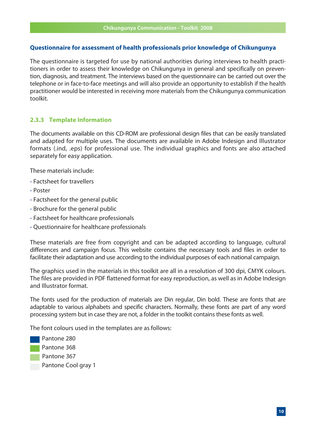#### **Questionnaire for assessment of health professionals prior knowledge of Chikungunya**

The questionnaire is targeted for use by national authorities during interviews to health practitioners in order to assess their knowledge on Chikungunya in general and specifically on prevention, diagnosis, and treatment. The interviews based on the questionnaire can be carried out over the telephone or in face-to-face meetings and will also provide an opportunity to establish if the health practitioner would be interested in receiving more materials from the Chikungunya communication toolkit.

#### **2.3.3 Template Information**

The documents available on this CD-ROM are professional design files that can be easily translated and adapted for multiple uses. The documents are available in Adobe Indesign and Illustrator formats (.ind, .eps) for professional use. The individual graphics and fonts are also attached separately for easy application.

These materials include:

- Factsheet for travellers
- Poster
- Factsheet for the general public
- Brochure for the general public
- Factsheet for healthcare professionals
- Questionnaire for healthcare professionals

These materials are free from copyright and can be adapted according to language, cultural differences and campaign focus. This website contains the necessary tools and files in order to facilitate their adaptation and use according to the individual purposes of each national campaign.

The graphics used in the materials in this toolkit are all in a resolution of 300 dpi, CMYK colours. The files are provided in PDF flattened format for easy reproduction, as well as in Adobe Indesign and Illustrator format.

The fonts used for the production of materials are Din regular, Din bold. These are fonts that are adaptable to various alphabets and specific characters. Normally, these fonts are part of any word processing system but in case they are not, a folder in the toolkit contains these fonts as well.

The font colours used in the templates are as follows:

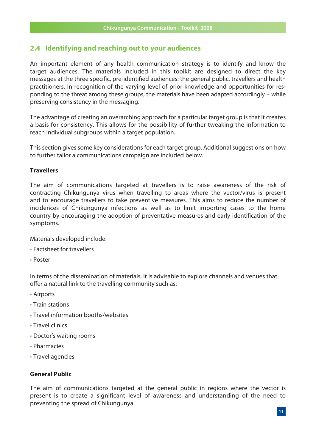#### **2.4 Identifying and reaching out to your audiences**

An important element of any health communication strategy is to identify and know the target audiences. The materials included in this toolkit are designed to direct the key messages at the three specific, pre-identified audiences: the general public, travellers and health practitioners. In recognition of the varying level of prior knowledge and opportunities for responding to the threat among these groups, the materials have been adapted accordingly – while preserving consistency in the messaging.

The advantage of creating an overarching approach for a particular target group is that it creates a basis for consistency. This allows for the possibility of further tweaking the information to reach individual subgroups within a target population.

This section gives some key considerations for each target group. Additional suggestions on how to further tailor a communications campaign are included below.

#### **Travellers**

The aim of communications targeted at travellers is to raise awareness of the risk of contracting Chikungunya virus when travelling to areas where the vector/virus is present and to encourage travellers to take preventive measures. This aims to reduce the number of incidences of Chikungunya infections as well as to limit importing cases to the home country by encouraging the adoption of preventative measures and early identification of the symptoms.

Materials developed include:

- Factsheet for travellers
- Poster

In terms of the dissemination of materials, it is advisable to explore channels and venues that offer a natural link to the travelling community such as:

- Airports
- Train stations
- Travel information booths/websites
- Travel clinics
- Doctor's waiting rooms
- Pharmacies
- Travel agencies

#### **General Public**

The aim of communications targeted at the general public in regions where the vector is present is to create a significant level of awareness and understanding of the need to preventing the spread of Chikungunya.